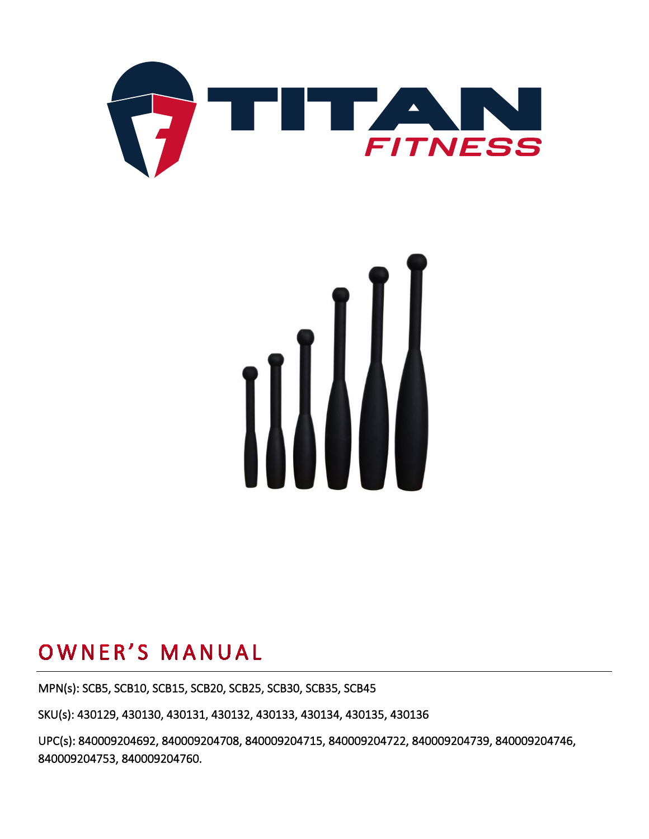



## OWNER'S MANUAL

MPN(s): SCB5, SCB10, SCB15, SCB20, SCB25, SCB30, SCB35, SCB45

SKU(s): 430129, 430130, 430131, 430132, 430133, 430134, 430135, 430136

UPC(s): 840009204692, 840009204708, 840009204715, 840009204722, 840009204739, 840009204746, 840009204753, 840009204760.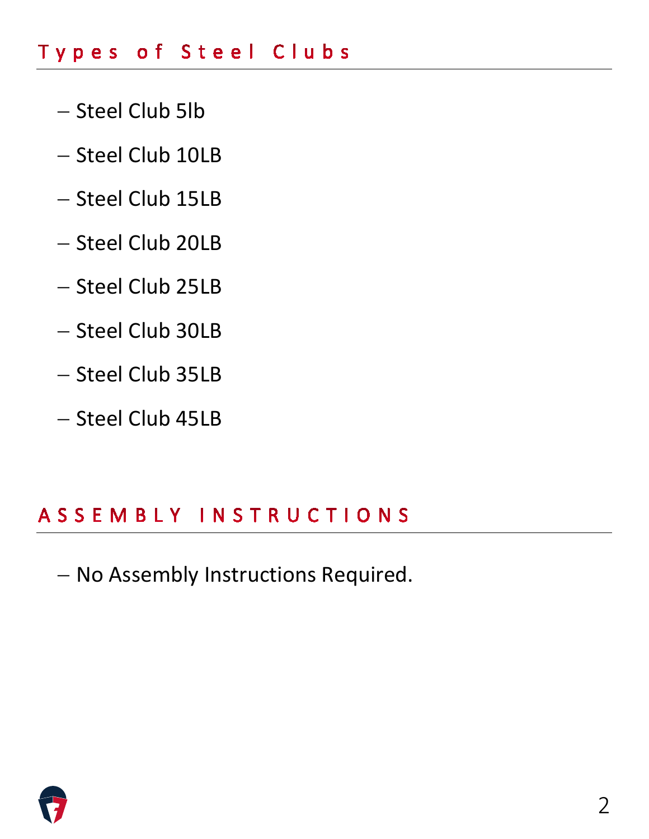### Types of Steel Clubs

- − Steel Club 5lb
- − Steel Club 10LB
- − Steel Club 15LB
- − Steel Club 20LB
- − Steel Club 25LB
- − Steel Club 30LB
- − Steel Club 35LB
- − Steel Club 45LB

### ASSEMBLY INSTRUCTIONS

− No Assembly Instructions Required.